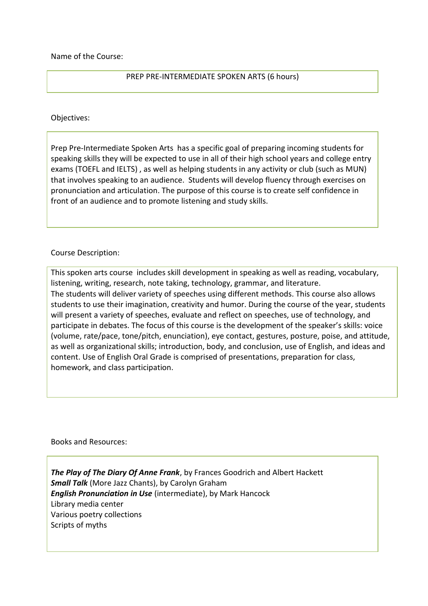Name of the Course:

## PREP PRE-INTERMEDIATE SPOKEN ARTS (6 hours)

## Objectives:

Prep Pre-Intermediate Spoken Arts has a specific goal of preparing incoming students for speaking skills they will be expected to use in all of their high school years and college entry exams (TOEFL and IELTS) , as well as helping students in any activity or club (such as MUN) that involves speaking to an audience. Students will develop fluency through exercises on pronunciation and articulation. The purpose of this course is to create self confidence in front of an audience and to promote listening and study skills.

## Course Description:

This spoken arts course includes skill development in speaking as well as reading, vocabulary, listening, writing, research, note taking, technology, grammar, and literature. The students will deliver variety of speeches using different methods. This course also allows students to use their imagination, creativity and humor. During the course of the year, students will present a variety of speeches, evaluate and reflect on speeches, use of technology, and participate in debates. The focus of this course is the development of the speaker's skills: voice (volume, rate/pace, tone/pitch, enunciation), eye contact, gestures, posture, poise, and attitude, as well as organizational skills; introduction, body, and conclusion, use of English, and ideas and content. Use of English Oral Grade is comprised of presentations, preparation for class, homework, and class participation.

Books and Resources:

*The Play of The Diary Of Anne Frank*, by Frances Goodrich and Albert Hackett *Small Talk* (More Jazz Chants), by Carolyn Graham *English Pronunciation in Use* (intermediate), by Mark Hancock Library media center Various poetry collections Scripts of myths